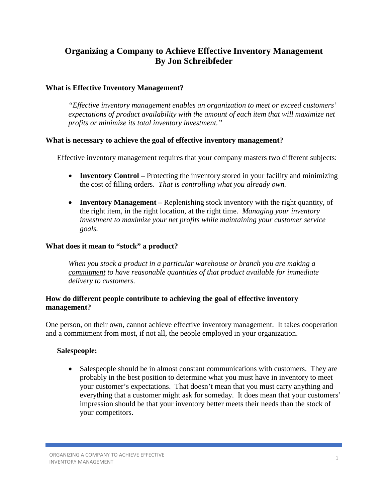# **Organizing a Company to Achieve Effective Inventory Management By Jon Schreibfeder**

## **What is Effective Inventory Management?**

*"Effective inventory management enables an organization to meet or exceed customers' expectations of product availability with the amount of each item that will maximize net profits or minimize its total inventory investment."*

## **What is necessary to achieve the goal of effective inventory management?**

Effective inventory management requires that your company masters two different subjects:

- **Inventory Control** Protecting the inventory stored in your facility and minimizing the cost of filling orders. *That is controlling what you already own.*
- **Inventory Management –** Replenishing stock inventory with the right quantity, of the right item, in the right location, at the right time. *Managing your inventory investment to maximize your net profits while maintaining your customer service goals.*

#### **What does it mean to "stock" a product?**

*When you stock a product in a particular warehouse or branch you are making a commitment to have reasonable quantities of that product available for immediate delivery to customers.*

#### **How do different people contribute to achieving the goal of effective inventory management?**

One person, on their own, cannot achieve effective inventory management. It takes cooperation and a commitment from most, if not all, the people employed in your organization.

## **Salespeople:**

• Salespeople should be in almost constant communications with customers. They are probably in the best position to determine what you must have in inventory to meet your customer's expectations. That doesn't mean that you must carry anything and everything that a customer might ask for someday. It does mean that your customers' impression should be that your inventory better meets their needs than the stock of your competitors.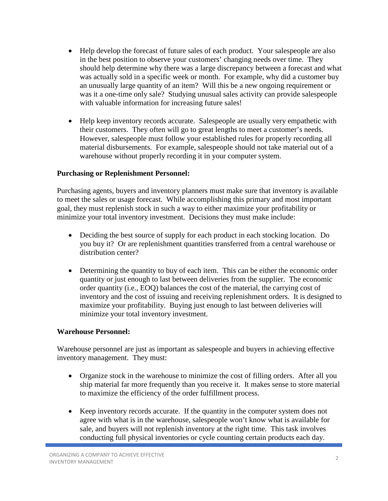- Help develop the forecast of future sales of each product. Your salespeople are also in the best position to observe your customers' changing needs over time. They should help determine why there was a large discrepancy between a forecast and what was actually sold in a specific week or month. For example, why did a customer buy an unusually large quantity of an item? Will this be a new ongoing requirement or was it a one-time only sale? Studying unusual sales activity can provide salespeople with valuable information for increasing future sales!
- Help keep inventory records accurate. Salespeople are usually very empathetic with their customers. They often will go to great lengths to meet a customer's needs. However, salespeople must follow your established rules for properly recording all material disbursements. For example, salespeople should not take material out of a warehouse without properly recording it in your computer system.

## **Purchasing or Replenishment Personnel:**

Purchasing agents, buyers and inventory planners must make sure that inventory is available to meet the sales or usage forecast. While accomplishing this primary and most important goal, they must replenish stock in such a way to either maximize your profitability or minimize your total inventory investment. Decisions they must make include:

- Deciding the best source of supply for each product in each stocking location. Do you buy it? Or are replenishment quantities transferred from a central warehouse or distribution center?
- Determining the quantity to buy of each item. This can be either the economic order quantity or just enough to last between deliveries from the supplier. The economic order quantity (i.e., EOQ) balances the cost of the material, the carrying cost of inventory and the cost of issuing and receiving replenishment orders. It is designed to maximize your profitability. Buying just enough to last between deliveries will minimize your total inventory investment.

## **Warehouse Personnel:**

Warehouse personnel are just as important as salespeople and buyers in achieving effective inventory management. They must:

- Organize stock in the warehouse to minimize the cost of filling orders. After all you ship material far more frequently than you receive it. It makes sense to store material to maximize the efficiency of the order fulfillment process.
- Keep inventory records accurate. If the quantity in the computer system does not agree with what is in the warehouse, salespeople won't know what is available for sale, and buyers will not replenish inventory at the right time. This task involves conducting full physical inventories or cycle counting certain products each day.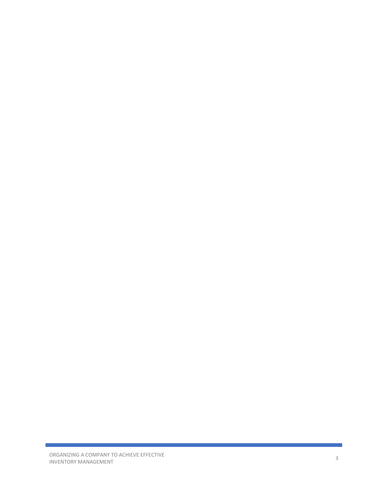$\mathcal{L}(\mathcal{L}(\mathcal{L}))$  and  $\mathcal{L}(\mathcal{L}(\mathcal{L}))$  and  $\mathcal{L}(\mathcal{L}(\mathcal{L}))$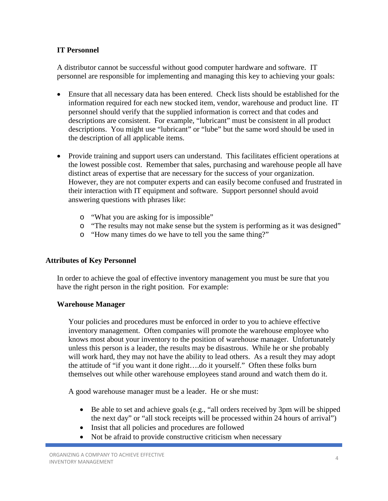## **IT Personnel**

A distributor cannot be successful without good computer hardware and software. IT personnel are responsible for implementing and managing this key to achieving your goals:

- Ensure that all necessary data has been entered. Check lists should be established for the information required for each new stocked item, vendor, warehouse and product line. IT personnel should verify that the supplied information is correct and that codes and descriptions are consistent. For example, "lubricant" must be consistent in all product descriptions. You might use "lubricant" or "lube" but the same word should be used in the description of all applicable items.
- Provide training and support users can understand. This facilitates efficient operations at the lowest possible cost. Remember that sales, purchasing and warehouse people all have distinct areas of expertise that are necessary for the success of your organization. However, they are not computer experts and can easily become confused and frustrated in their interaction with IT equipment and software. Support personnel should avoid answering questions with phrases like:
	- o "What you are asking for is impossible"
	- o "The results may not make sense but the system is performing as it was designed"
	- o "How many times do we have to tell you the same thing?"

## **Attributes of Key Personnel**

In order to achieve the goal of effective inventory management you must be sure that you have the right person in the right position. For example:

## **Warehouse Manager**

Your policies and procedures must be enforced in order to you to achieve effective inventory management. Often companies will promote the warehouse employee who knows most about your inventory to the position of warehouse manager. Unfortunately unless this person is a leader, the results may be disastrous. While he or she probably will work hard, they may not have the ability to lead others. As a result they may adopt the attitude of "if you want it done right….do it yourself." Often these folks burn themselves out while other warehouse employees stand around and watch them do it.

A good warehouse manager must be a leader. He or she must:

- Be able to set and achieve goals (e.g., "all orders received by 3pm will be shipped the next day" or "all stock receipts will be processed within 24 hours of arrival")
- Insist that all policies and procedures are followed
- Not be afraid to provide constructive criticism when necessary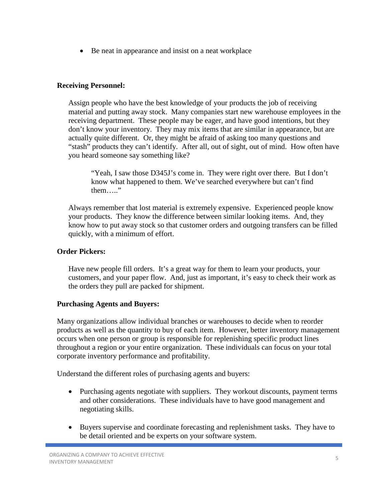• Be neat in appearance and insist on a neat workplace

## **Receiving Personnel:**

Assign people who have the best knowledge of your products the job of receiving material and putting away stock. Many companies start new warehouse employees in the receiving department. These people may be eager, and have good intentions, but they don't know your inventory. They may mix items that are similar in appearance, but are actually quite different. Or, they might be afraid of asking too many questions and "stash" products they can't identify. After all, out of sight, out of mind. How often have you heard someone say something like?

"Yeah, I saw those D345J's come in. They were right over there. But I don't know what happened to them. We've searched everywhere but can't find them….."

Always remember that lost material is extremely expensive. Experienced people know your products. They know the difference between similar looking items. And, they know how to put away stock so that customer orders and outgoing transfers can be filled quickly, with a minimum of effort.

## **Order Pickers:**

Have new people fill orders. It's a great way for them to learn your products, your customers, and your paper flow. And, just as important, it's easy to check their work as the orders they pull are packed for shipment.

## **Purchasing Agents and Buyers:**

Many organizations allow individual branches or warehouses to decide when to reorder products as well as the quantity to buy of each item. However, better inventory management occurs when one person or group is responsible for replenishing specific product lines throughout a region or your entire organization. These individuals can focus on your total corporate inventory performance and profitability.

Understand the different roles of purchasing agents and buyers:

- Purchasing agents negotiate with suppliers. They workout discounts, payment terms and other considerations. These individuals have to have good management and negotiating skills.
- Buyers supervise and coordinate forecasting and replenishment tasks. They have to be detail oriented and be experts on your software system.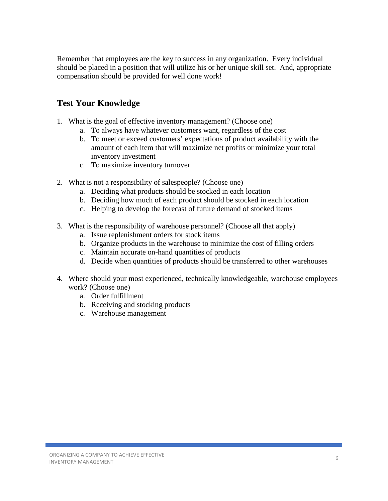Remember that employees are the key to success in any organization. Every individual should be placed in a position that will utilize his or her unique skill set. And, appropriate compensation should be provided for well done work!

# **Test Your Knowledge**

- 1. What is the goal of effective inventory management? (Choose one)
	- a. To always have whatever customers want, regardless of the cost
	- b. To meet or exceed customers' expectations of product availability with the amount of each item that will maximize net profits or minimize your total inventory investment
	- c. To maximize inventory turnover
- 2. What is <u>not</u> a responsibility of salespeople? (Choose one)
	- a. Deciding what products should be stocked in each location
	- b. Deciding how much of each product should be stocked in each location
	- c. Helping to develop the forecast of future demand of stocked items
- 3. What is the responsibility of warehouse personnel? (Choose all that apply)
	- a. Issue replenishment orders for stock items
	- b. Organize products in the warehouse to minimize the cost of filling orders
	- c. Maintain accurate on-hand quantities of products
	- d. Decide when quantities of products should be transferred to other warehouses
- 4. Where should your most experienced, technically knowledgeable, warehouse employees work? (Choose one)
	- a. Order fulfillment
	- b. Receiving and stocking products
	- c. Warehouse management